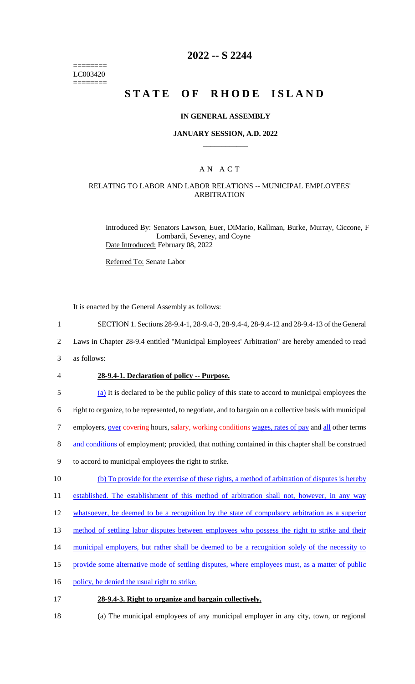======== LC003420 ========

# **2022 -- S 2244**

# **STATE OF RHODE ISLAND**

#### **IN GENERAL ASSEMBLY**

#### **JANUARY SESSION, A.D. 2022 \_\_\_\_\_\_\_\_\_\_\_\_**

## A N A C T

## RELATING TO LABOR AND LABOR RELATIONS -- MUNICIPAL EMPLOYEES' ARBITRATION

Introduced By: Senators Lawson, Euer, DiMario, Kallman, Burke, Murray, Ciccone, F Lombardi, Seveney, and Coyne Date Introduced: February 08, 2022

Referred To: Senate Labor

It is enacted by the General Assembly as follows:

1 SECTION 1. Sections 28-9.4-1, 28-9.4-3, 28-9.4-4, 28-9.4-12 and 28-9.4-13 of the General

2 Laws in Chapter 28-9.4 entitled "Municipal Employees' Arbitration" are hereby amended to read

3 as follows:

#### 4 **28-9.4-1. Declaration of policy -- Purpose.**

5 (a) It is declared to be the public policy of this state to accord to municipal employees the

6 right to organize, to be represented, to negotiate, and to bargain on a collective basis with municipal

7 employers, over eovering hours, salary, working conditions wages, rates of pay and all other terms

- 8 and conditions of employment; provided, that nothing contained in this chapter shall be construed
- 9 to accord to municipal employees the right to strike.
- 10 (b) To provide for the exercise of these rights, a method of arbitration of disputes is hereby

11 established. The establishment of this method of arbitration shall not, however, in any way

- 12 whatsoever, be deemed to be a recognition by the state of compulsory arbitration as a superior
- 13 method of settling labor disputes between employees who possess the right to strike and their
- 14 municipal employers, but rather shall be deemed to be a recognition solely of the necessity to
- 15 provide some alternative mode of settling disputes, where employees must, as a matter of public
- 16 policy, be denied the usual right to strike.

#### 17 **28-9.4-3. Right to organize and bargain collectively.**

18 (a) The municipal employees of any municipal employer in any city, town, or regional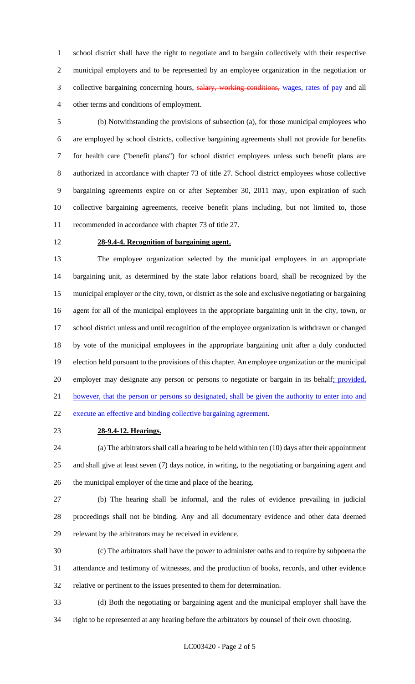school district shall have the right to negotiate and to bargain collectively with their respective municipal employers and to be represented by an employee organization in the negotiation or 3 collective bargaining concerning hours, salary, working conditions, wages, rates of pay and all other terms and conditions of employment.

 (b) Notwithstanding the provisions of subsection (a), for those municipal employees who are employed by school districts, collective bargaining agreements shall not provide for benefits for health care ("benefit plans") for school district employees unless such benefit plans are authorized in accordance with chapter 73 of title 27. School district employees whose collective bargaining agreements expire on or after September 30, 2011 may, upon expiration of such collective bargaining agreements, receive benefit plans including, but not limited to, those recommended in accordance with chapter 73 of title 27.

## **28-9.4-4. Recognition of bargaining agent.**

 The employee organization selected by the municipal employees in an appropriate bargaining unit, as determined by the state labor relations board, shall be recognized by the municipal employer or the city, town, or district as the sole and exclusive negotiating or bargaining agent for all of the municipal employees in the appropriate bargaining unit in the city, town, or school district unless and until recognition of the employee organization is withdrawn or changed by vote of the municipal employees in the appropriate bargaining unit after a duly conducted election held pursuant to the provisions of this chapter. An employee organization or the municipal 20 employer may designate any person or persons to negotiate or bargain in its behalf; provided, however, that the person or persons so designated, shall be given the authority to enter into and execute an effective and binding collective bargaining agreement.

**28-9.4-12. Hearings.**

 (a) The arbitrators shall call a hearing to be held within ten (10) days after their appointment and shall give at least seven (7) days notice, in writing, to the negotiating or bargaining agent and the municipal employer of the time and place of the hearing.

 (b) The hearing shall be informal, and the rules of evidence prevailing in judicial proceedings shall not be binding. Any and all documentary evidence and other data deemed relevant by the arbitrators may be received in evidence.

 (c) The arbitrators shall have the power to administer oaths and to require by subpoena the attendance and testimony of witnesses, and the production of books, records, and other evidence relative or pertinent to the issues presented to them for determination.

 (d) Both the negotiating or bargaining agent and the municipal employer shall have the right to be represented at any hearing before the arbitrators by counsel of their own choosing.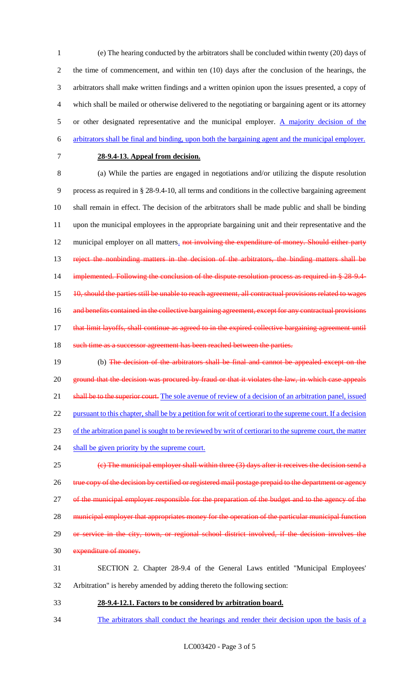(e) The hearing conducted by the arbitrators shall be concluded within twenty (20) days of the time of commencement, and within ten (10) days after the conclusion of the hearings, the arbitrators shall make written findings and a written opinion upon the issues presented, a copy of which shall be mailed or otherwise delivered to the negotiating or bargaining agent or its attorney 5 or other designated representative and the municipal employer.  $\Delta$  majority decision of the arbitrators shall be final and binding, upon both the bargaining agent and the municipal employer.

#### 7 **28-9.4-13. Appeal from decision.**

8 (a) While the parties are engaged in negotiations and/or utilizing the dispute resolution 9 process as required in § 28-9.4-10, all terms and conditions in the collective bargaining agreement 10 shall remain in effect. The decision of the arbitrators shall be made public and shall be binding 11 upon the municipal employees in the appropriate bargaining unit and their representative and the 12 municipal employer on all matters. not involving the expenditure of money. Should either party 13 reject the nonbinding matters in the decision of the arbitrators, the binding matters shall be 14 implemented. Following the conclusion of the dispute resolution process as required in § 28-9.4-15 10, should the parties still be unable to reach agreement, all contractual provisions related to wages 16 and benefits contained in the collective bargaining agreement, except for any contractual provisions 17 that limit layoffs, shall continue as agreed to in the expired collective bargaining agreement until

18 such time as a successor agreement has been reached between the parties.

19 (b) The decision of the arbitrators shall be final and cannot be appealed except on the 20 ground that the decision was procured by fraud or that it violates the law, in which case appeals 21 shall be to the superior court. The sole avenue of review of a decision of an arbitration panel, issued 22 pursuant to this chapter, shall be by a petition for writ of certiorari to the supreme court. If a decision 23 of the arbitration panel is sought to be reviewed by writ of certiorari to the supreme court, the matter 24 shall be given priority by the supreme court. 25  $\left\{\epsilon\right\}$  The municipal employer shall within three (3) days after it receives the decision send a

26 true copy of the decision by certified or registered mail postage prepaid to the department or agency

27 of the municipal employer responsible for the preparation of the budget and to the agency of the

28 municipal employer that appropriates money for the operation of the particular municipal function

- 29 or service in the city, town, or regional school district involved, if the decision involves the
- 30 expenditure of money.

# 31 SECTION 2. Chapter 28-9.4 of the General Laws entitled "Municipal Employees' 32 Arbitration" is hereby amended by adding thereto the following section:

- 33 **28-9.4-12.1. Factors to be considered by arbitration board.**
- 34 The arbitrators shall conduct the hearings and render their decision upon the basis of a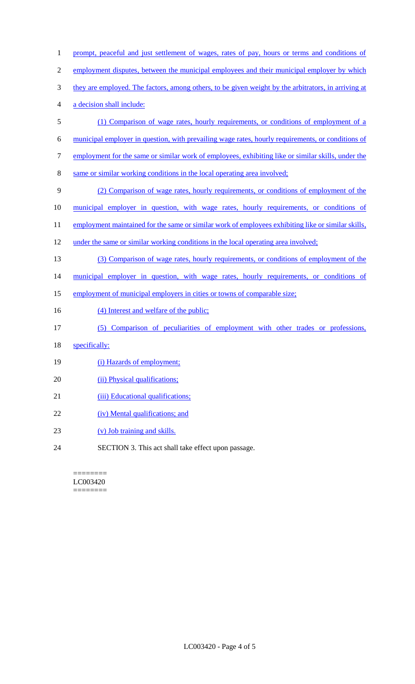| 1              | prompt, peaceful and just settlement of wages, rates of pay, hours or terms and conditions of       |
|----------------|-----------------------------------------------------------------------------------------------------|
| $\mathfrak{2}$ | employment disputes, between the municipal employees and their municipal employer by which          |
| 3              | they are employed. The factors, among others, to be given weight by the arbitrators, in arriving at |
| 4              | a decision shall include:                                                                           |
| 5              | (1) Comparison of wage rates, hourly requirements, or conditions of employment of a                 |
| 6              | municipal employer in question, with prevailing wage rates, hourly requirements, or conditions of   |
| 7              | employment for the same or similar work of employees, exhibiting like or similar skills, under the  |
| $8\,$          | same or similar working conditions in the local operating area involved;                            |
| 9              | (2) Comparison of wage rates, hourly requirements, or conditions of employment of the               |
| 10             | municipal employer in question, with wage rates, hourly requirements, or conditions of              |
| 11             | employment maintained for the same or similar work of employees exhibiting like or similar skills,  |
| 12             | under the same or similar working conditions in the local operating area involved;                  |
| 13             | (3) Comparison of wage rates, hourly requirements, or conditions of employment of the               |
| 14             | municipal employer in question, with wage rates, hourly requirements, or conditions of              |
| 15             | employment of municipal employers in cities or towns of comparable size;                            |
| 16             | (4) Interest and welfare of the public;                                                             |
| 17             | (5) Comparison of peculiarities of employment with other trades or professions,                     |
| 18             | specifically:                                                                                       |
| 19             | (i) Hazards of employment;                                                                          |
| 20             | (ii) Physical qualifications;                                                                       |
| 21             | (iii) Educational qualifications;                                                                   |
| 22             | (iv) Mental qualifications; and                                                                     |
| 23             | (v) Job training and skills.                                                                        |
| 24             | SECTION 3. This act shall take effect upon passage.                                                 |
|                |                                                                                                     |

 $=$ LC003420  $=$